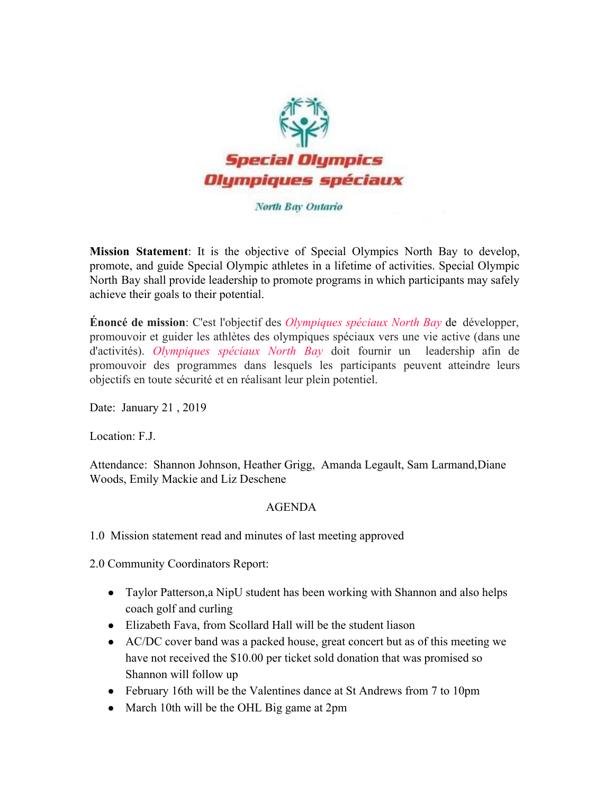

North Bay Ontario

**Mission Statement**: It is the objective of Special Olympics North Bay to develop, promote, and guide Special Olympic athletes in a lifetime of activities. Special Olympic North Bay shall provide leadership to promote programs in which participants may safely achieve their goals to their potential.

**Énoncé de mission**: C'est l'objectif des *Olympiques spéciaux North Bay* de développer, promouvoir et guider les athlètes des olympiques spéciaux vers une vie active (dans une d'activités). *Olympiques spéciaux North Bay* doit fournir un leadership afin de promouvoir des programmes dans lesquels les participants peuvent atteindre leurs objectifs en toute sécurité et en réalisant leur plein potentiel.

Date: January 21, 2019

Location: F.J.

Attendance: Shannon Johnson, Heather Grigg, Amanda Legault, Sam Larmand,Diane Woods, Emily Mackie and Liz Deschene

## AGENDA

1.0 Mission statement read and minutes of last meeting approved

2.0 Community Coordinators Report:

- Taylor Patterson, a NipU student has been working with Shannon and also helps coach golf and curling
- Elizabeth Fava, from Scollard Hall will be the student liason
- AC/DC cover band was a packed house, great concert but as of this meeting we have not received the \$10.00 per ticket sold donation that was promised so Shannon will follow up
- February 16th will be the Valentines dance at St Andrews from 7 to 10pm
- March 10th will be the OHL Big game at 2pm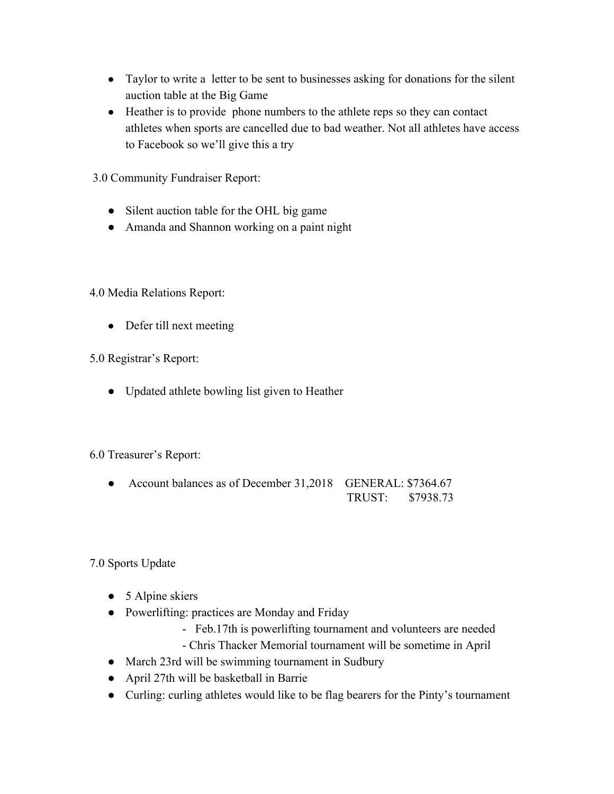- Taylor to write a letter to be sent to businesses asking for donations for the silent auction table at the Big Game
- Heather is to provide phone numbers to the athlete reps so they can contact athletes when sports are cancelled due to bad weather. Not all athletes have access to Facebook so we'll give this a try
- 3.0 Community Fundraiser Report:
	- Silent auction table for the OHL big game
	- Amanda and Shannon working on a paint night

4.0 Media Relations Report:

• Defer till next meeting

5.0 Registrar's Report:

● Updated athlete bowling list given to Heather

## 6.0 Treasurer's Report:

• Account balances as of December 31,2018 GENERAL: \$7364.67 TRUST: \$7938.73

7.0 Sports Update

- 5 Alpine skiers
- Powerlifting: practices are Monday and Friday
	- Feb.17th is powerlifting tournament and volunteers are needed
	- Chris Thacker Memorial tournament will be sometime in April
- March 23rd will be swimming tournament in Sudbury
- April 27th will be basketball in Barrie
- Curling: curling athletes would like to be flag bearers for the Pinty's tournament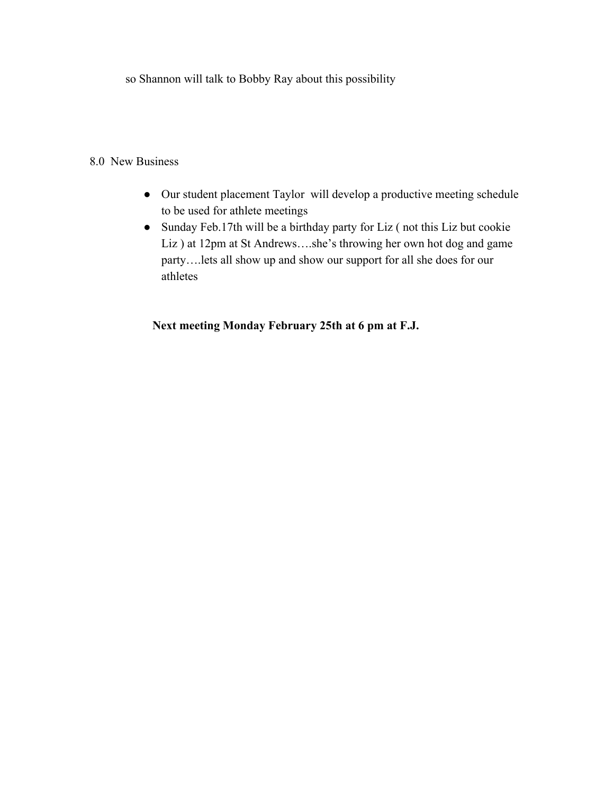so Shannon will talk to Bobby Ray about this possibility

## 8.0 New Business

- Our student placement Taylor will develop a productive meeting schedule to be used for athlete meetings
- Sunday Feb.17th will be a birthday party for Liz ( not this Liz but cookie Liz ) at 12pm at St Andrews….she's throwing her own hot dog and game party….lets all show up and show our support for all she does for our athletes

## **Next meeting Monday February 25th at 6 pm at F.J.**